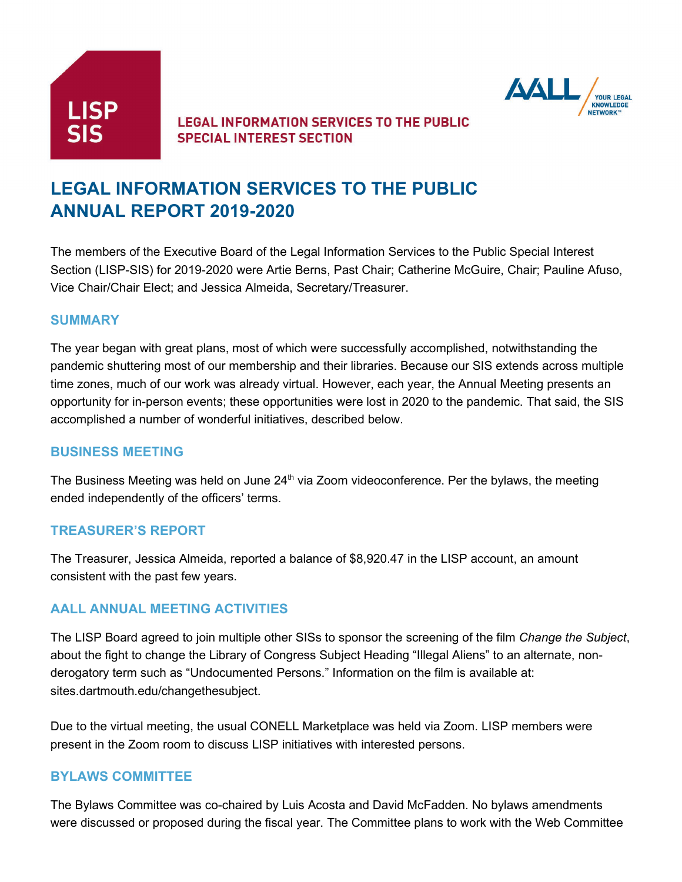

# **LEGAL INFORMATION SERVICES TO THE PUBLIC SPECIAL INTEREST SECTION**



# **LEGAL INFORMATION SERVICES TO THE PUBLIC ANNUAL REPORT 2019-2020**

The members of the Executive Board of the Legal Information Services to the Public Special Interest Section (LISP-SIS) for 2019-2020 were Artie Berns, Past Chair; Catherine McGuire, Chair; Pauline Afuso, Vice Chair/Chair Elect; and Jessica Almeida, Secretary/Treasurer.

#### **SUMMARY**

The year began with great plans, most of which were successfully accomplished, notwithstanding the pandemic shuttering most of our membership and their libraries. Because our SIS extends across multiple time zones, much of our work was already virtual. However, each year, the Annual Meeting presents an opportunity for in-person events; these opportunities were lost in 2020 to the pandemic. That said, the SIS accomplished a number of wonderful initiatives, described below.

### **BUSINESS MEETING**

The Business Meeting was held on June  $24<sup>th</sup>$  via Zoom videoconference. Per the bylaws, the meeting ended independently of the officers' terms.

### **TREASURER'S REPORT**

The Treasurer, Jessica Almeida, reported a balance of \$8,920.47 in the LISP account, an amount consistent with the past few years.

### **AALL ANNUAL MEETING ACTIVITIES**

The LISP Board agreed to join multiple other SISs to sponsor the screening of the film *Change the Subject*, about the fight to change the Library of Congress Subject Heading "Illegal Aliens" to an alternate, nonderogatory term such as "Undocumented Persons." Information on the film is available at: sites.dartmouth.edu/changethesubject.

Due to the virtual meeting, the usual CONELL Marketplace was held via Zoom. LISP members were present in the Zoom room to discuss LISP initiatives with interested persons.

### **BYLAWS COMMITTEE**

The Bylaws Committee was co-chaired by Luis Acosta and David McFadden. No bylaws amendments were discussed or proposed during the fiscal year. The Committee plans to work with the Web Committee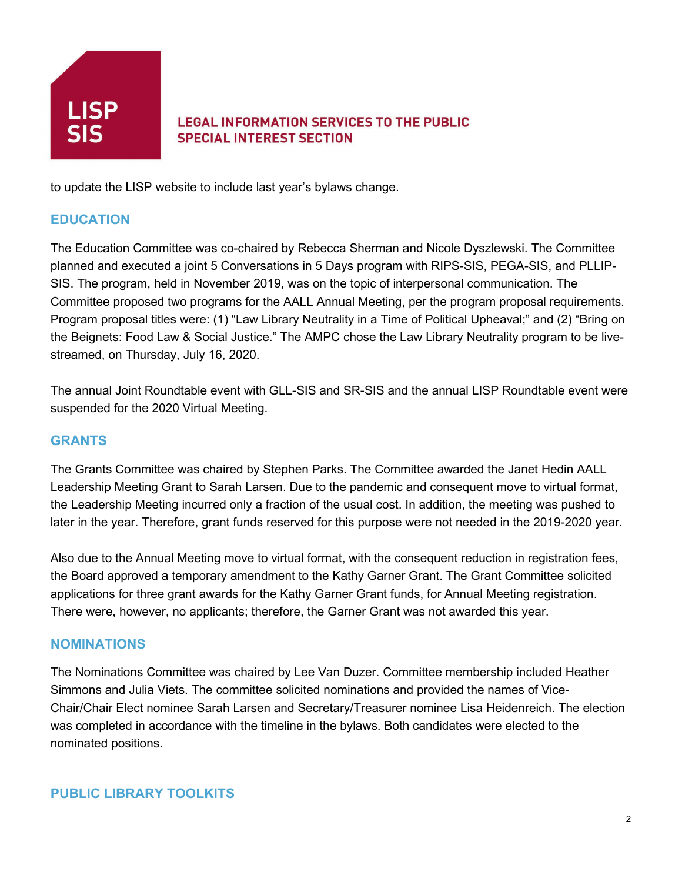

# **LEGAL INFORMATION SERVICES TO THE PUBLIC SPECIAL INTEREST SECTION**

to update the LISP website to include last year's bylaws change.

## **EDUCATION**

The Education Committee was co-chaired by Rebecca Sherman and Nicole Dyszlewski. The Committee planned and executed a joint 5 Conversations in 5 Days program with RIPS-SIS, PEGA-SIS, and PLLIP-SIS. The program, held in November 2019, was on the topic of interpersonal communication. The Committee proposed two programs for the AALL Annual Meeting, per the program proposal requirements. Program proposal titles were: (1) "Law Library Neutrality in a Time of Political Upheaval;" and (2) "Bring on the Beignets: Food Law & Social Justice." The AMPC chose the Law Library Neutrality program to be livestreamed, on Thursday, July 16, 2020.

The annual Joint Roundtable event with GLL-SIS and SR-SIS and the annual LISP Roundtable event were suspended for the 2020 Virtual Meeting.

## **GRANTS**

The Grants Committee was chaired by Stephen Parks. The Committee awarded the Janet Hedin AALL Leadership Meeting Grant to Sarah Larsen. Due to the pandemic and consequent move to virtual format, the Leadership Meeting incurred only a fraction of the usual cost. In addition, the meeting was pushed to later in the year. Therefore, grant funds reserved for this purpose were not needed in the 2019-2020 year.

Also due to the Annual Meeting move to virtual format, with the consequent reduction in registration fees, the Board approved a temporary amendment to the Kathy Garner Grant. The Grant Committee solicited applications for three grant awards for the Kathy Garner Grant funds, for Annual Meeting registration. There were, however, no applicants; therefore, the Garner Grant was not awarded this year.

### **NOMINATIONS**

The Nominations Committee was chaired by Lee Van Duzer. Committee membership included Heather Simmons and Julia Viets. The committee solicited nominations and provided the names of Vice-Chair/Chair Elect nominee Sarah Larsen and Secretary/Treasurer nominee Lisa Heidenreich. The election was completed in accordance with the timeline in the bylaws. Both candidates were elected to the nominated positions.

### **PUBLIC LIBRARY TOOLKITS**